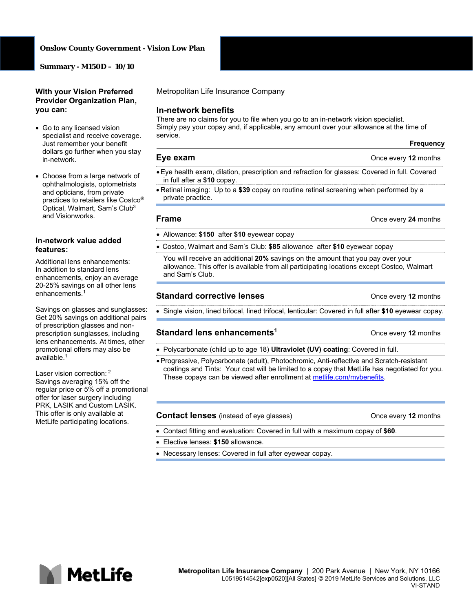### **Onslow County Government - Vision Low Plan**

**Summary - M150D – 10/10** 

## **With your Vision Preferred Provider Organization Plan, you can:**

- Go to any licensed vision specialist and receive coverage. Just remember your benefit dollars go further when you stay in-network.
- Choose from a large network of ophthalmologists, optometrists and opticians, from private practices to retailers like Costco® Optical, Walmart, Sam's Club3 and Visionworks.

### **In-network value added features:**

Additional lens enhancements: In addition to standard lens enhancements, enjoy an average 20-25% savings on all other lens enhancements.1

Savings on glasses and sunglasses: Get 20% savings on additional pairs of prescription glasses and nonprescription sunglasses, including lens enhancements. At times, other promotional offers may also be available.1

Laser vision correction: <sup>2</sup> Savings averaging 15% off the regular price or 5% off a promotional offer for laser surgery including PRK, LASIK and Custom LASIK. This offer is only available at MetLife participating locations.

Metropolitan Life Insurance Company

## **In-network benefits**

There are no claims for you to file when you go to an in-network vision specialist. Simply pay your copay and, if applicable, any amount over your allowance at the time of service.

## **Frequency**

**Eye exam CONCERN EVERS CONCERN EVERS CONCERN EVERS CONCERN EVERS CONCERN EVERS CONCERN EVERS CONCERN EVERS** 

- Eye health exam, dilation, prescription and refraction for glasses: Covered in full. Covered in full after a **\$10** copay.
- Retinal imaging: Up to a **\$39** copay on routine retinal screening when performed by a private practice.

### **Frame Concernsive Example 24** months

- Allowance: **\$150** after **\$10** eyewear copay
- Costco, Walmart and Sam's Club: **\$85** allowance after **\$10** eyewear copay

You will receive an additional **20%** savings on the amount that you pay over your allowance. This offer is available from all participating locations except Costco, Walmart and Sam's Club.

### **Standard corrective lenses Calculary 2** Once every 12 months

Single vision, lined bifocal, lined trifocal, lenticular: Covered in full after **\$10** eyewear copay.

## **Standard lens enhancements1** Once every **12** months

- Polycarbonate (child up to age 18) **Ultraviolet (UV) coating**: Covered in full.
- Progressive, Polycarbonate (adult), Photochromic, Anti-reflective and Scratch-resistant coatings and Tints: Your cost will be limited to a copay that MetLife has negotiated for you. These copays can be viewed after enrollment at metlife.com/mybenefits.

### **Contact lenses** (instead of eye glasses) **Contact Inc.** Once every 12 months

- Contact fitting and evaluation: Covered in full with a maximum copay of **\$60**.
- Elective lenses: **\$150** allowance.
- Necessary lenses: Covered in full after eyewear copay.

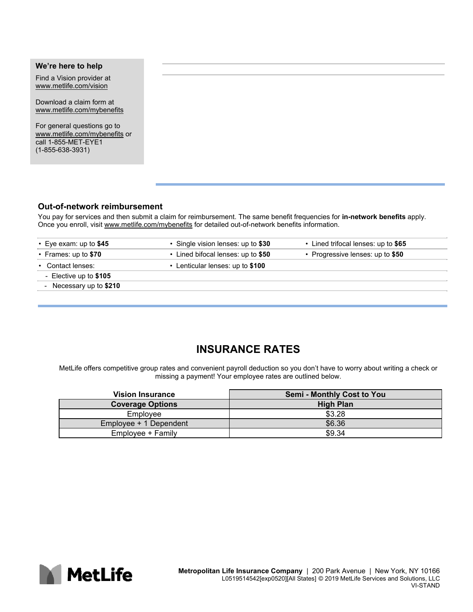# **We're here to help**  Find a Vision provider at www.metlife.com/vision Download a claim form at www.metlife.com/mybenefits For general questions go to www.metlife.com/mybenefits or call 1-855-MET-EYE1 (1-855-638-3931)

## **Out-of-network reimbursement**

You pay for services and then submit a claim for reimbursement. The same benefit frequencies for **in-network benefits** apply. Once you enroll, visit www.metlife.com/mybenefits for detailed out-of-network benefits information.

| $\cdot$ Eye exam: up to \$45 | • Single vision lenses: up to \$30 | • Lined trifocal lenses: up to \$65 |
|------------------------------|------------------------------------|-------------------------------------|
| • Frames: up to \$70         | • Lined bifocal lenses: up to \$50 | • Progressive lenses: up to \$50    |
| • Contact lenses:            | • Lenticular lenses: up to \$100   |                                     |
| - Elective up to $$105$      |                                    |                                     |
| - Necessary up to \$210      |                                    |                                     |
|                              |                                    |                                     |

## **INSURANCE RATES**

MetLife offers competitive group rates and convenient payroll deduction so you don't have to worry about writing a check or missing a payment! Your employee rates are outlined below.

| <b>Vision Insurance</b> | <b>Semi - Monthly Cost to You</b> |
|-------------------------|-----------------------------------|
| <b>Coverage Options</b> | <b>High Plan</b>                  |
| Employee                | \$3.28                            |
| Employee + 1 Dependent  | \$6.36                            |
| Employee + Family       | \$9.34                            |